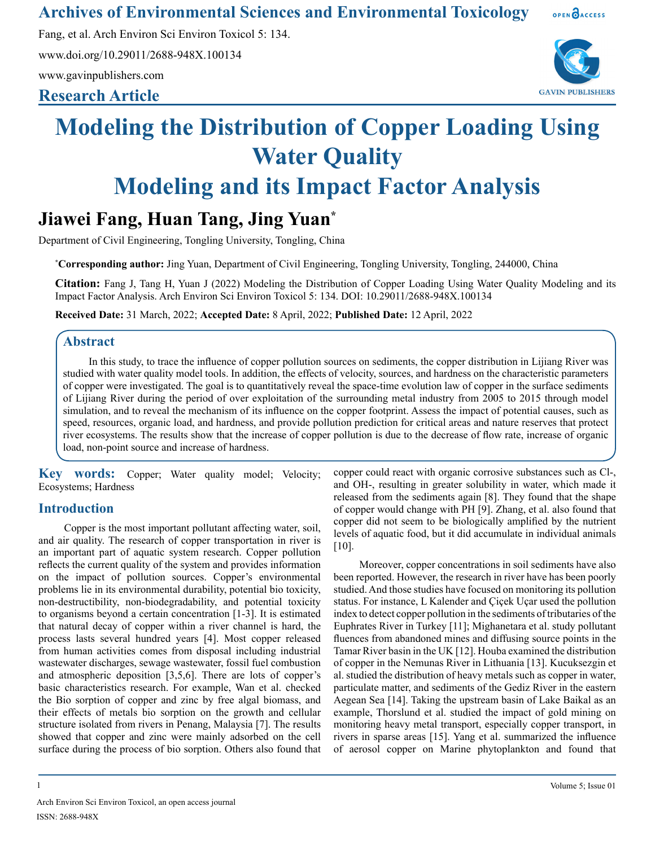**Archives of Environmental Sciences and Environmental Toxicology**

Fang, et al. Arch Environ Sci Environ Toxicol 5: 134.

www.doi.org/10.29011/2688-948X.100134

www.gavinpublishers.com

### **Research Article**



OPEN OACCESS

# **Modeling the Distribution of Copper Loading Using Water Quality Modeling and its Impact Factor Analysis**

## **Jiawei Fang, Huan Tang, Jing Yuan\***

Department of Civil Engineering, Tongling University, Tongling, China

**\* Corresponding author:** Jing Yuan, Department of Civil Engineering, Tongling University, Tongling, 244000, China

**Citation:** Fang J, Tang H, Yuan J (2022) Modeling the Distribution of Copper Loading Using Water Quality Modeling and its Impact Factor Analysis. Arch Environ Sci Environ Toxicol 5: 134. DOI: 10.29011/2688-948X.100134

**Received Date:** 31 March, 2022; **Accepted Date:** 8 April, 2022; **Published Date:** 12 April, 2022

#### **Abstract**

In this study, to trace the influence of copper pollution sources on sediments, the copper distribution in Lijiang River was studied with water quality model tools. In addition, the effects of velocity, sources, and hardness on the characteristic parameters of copper were investigated. The goal is to quantitatively reveal the space-time evolution law of copper in the surface sediments of Lijiang River during the period of over exploitation of the surrounding metal industry from 2005 to 2015 through model simulation, and to reveal the mechanism of its influence on the copper footprint. Assess the impact of potential causes, such as speed, resources, organic load, and hardness, and provide pollution prediction for critical areas and nature reserves that protect river ecosystems. The results show that the increase of copper pollution is due to the decrease of flow rate, increase of organic load, non-point source and increase of hardness.

**Key words:** Copper; Water quality model; Velocity; Ecosystems; Hardness

#### **Introduction**

Copper is the most important pollutant affecting water, soil, and air quality. The research of copper transportation in river is an important part of aquatic system research. Copper pollution reflects the current quality of the system and provides information on the impact of pollution sources. Copper's environmental problems lie in its environmental durability, potential bio toxicity, non-destructibility, non-biodegradability, and potential toxicity to organisms beyond a certain concentration [1-3]. It is estimated that natural decay of copper within a river channel is hard, the process lasts several hundred years [4]. Most copper released from human activities comes from disposal including industrial wastewater discharges, sewage wastewater, fossil fuel combustion and atmospheric deposition [3,5,6]. There are lots of copper's basic characteristics research. For example, Wan et al. checked the Bio sorption of copper and zinc by free algal biomass, and their effects of metals bio sorption on the growth and cellular structure isolated from rivers in Penang, Malaysia [7]. The results showed that copper and zinc were mainly adsorbed on the cell surface during the process of bio sorption. Others also found that

copper could react with organic corrosive substances such as Cl-, and OH-, resulting in greater solubility in water, which made it released from the sediments again [8]. They found that the shape of copper would change with PH [9]. Zhang, et al. also found that copper did not seem to be biologically amplified by the nutrient levels of aquatic food, but it did accumulate in individual animals [10].

Moreover, copper concentrations in soil sediments have also been reported. However, the research in river have has been poorly studied. And those studies have focused on monitoring its pollution status. For instance, L Kalender and Çiçek Uçar used the pollution index to detect copper pollution in the sediments of tributaries of the Euphrates River in Turkey [11]; Mighanetara et al. study pollutant fluences from abandoned mines and diffusing source points in the Tamar River basin in the UK [12]. Houba examined the distribution of copper in the Nemunas River in Lithuania [13]. Kucuksezgin et al. studied the distribution of heavy metals such as copper in water, particulate matter, and sediments of the Gediz River in the eastern Aegean Sea [14]. Taking the upstream basin of Lake Baikal as an example, Thorslund et al. studied the impact of gold mining on monitoring heavy metal transport, especially copper transport, in rivers in sparse areas [15]. Yang et al. summarized the influence of aerosol copper on Marine phytoplankton and found that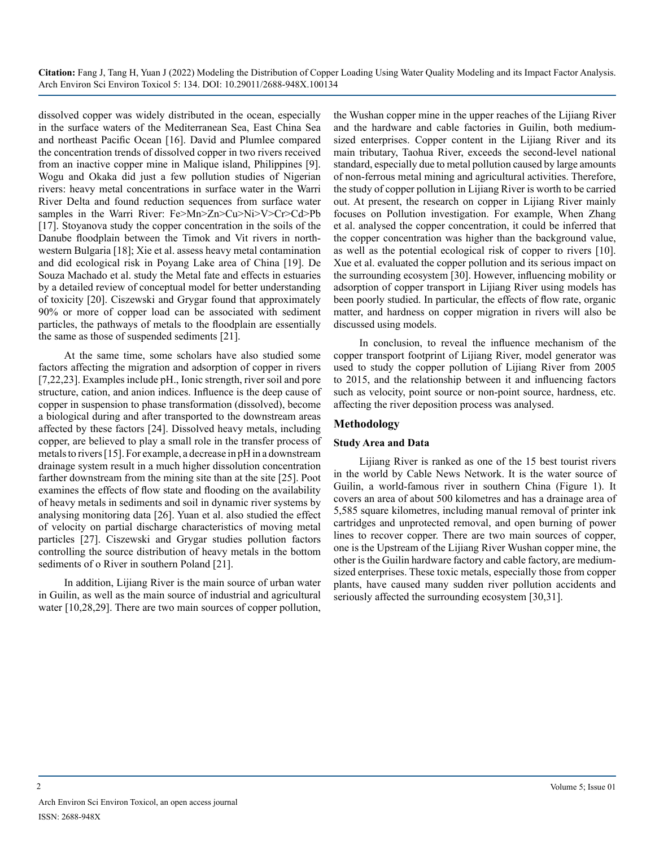dissolved copper was widely distributed in the ocean, especially in the surface waters of the Mediterranean Sea, East China Sea and northeast Pacific Ocean [16]. David and Plumlee compared the concentration trends of dissolved copper in two rivers received from an inactive copper mine in Malique island, Philippines [9]. Wogu and Okaka did just a few pollution studies of Nigerian rivers: heavy metal concentrations in surface water in the Warri River Delta and found reduction sequences from surface water samples in the Warri River: Fe>Mn>Zn>Cu>Ni>V>Cr>Cd>Pb [17]. Stoyanova study the copper concentration in the soils of the Danube floodplain between the Timok and Vit rivers in northwestern Bulgaria [18]; Xie et al. assess heavy metal contamination and did ecological risk in Poyang Lake area of China [19]. De Souza Machado et al. study the Metal fate and effects in estuaries by a detailed review of conceptual model for better understanding of toxicity [20]. Ciszewski and Grygar found that approximately 90% or more of copper load can be associated with sediment particles, the pathways of metals to the floodplain are essentially the same as those of suspended sediments [21].

At the same time, some scholars have also studied some factors affecting the migration and adsorption of copper in rivers [7,22,23]. Examples include pH., Ionic strength, river soil and pore structure, cation, and anion indices. Influence is the deep cause of copper in suspension to phase transformation (dissolved), become a biological during and after transported to the downstream areas affected by these factors [24]. Dissolved heavy metals, including copper, are believed to play a small role in the transfer process of metals to rivers [15]. For example, a decrease in pH in a downstream drainage system result in a much higher dissolution concentration farther downstream from the mining site than at the site [25]. Poot examines the effects of flow state and flooding on the availability of heavy metals in sediments and soil in dynamic river systems by analysing monitoring data [26]. Yuan et al. also studied the effect of velocity on partial discharge characteristics of moving metal particles [27]. Ciszewski and Grygar studies pollution factors controlling the source distribution of heavy metals in the bottom sediments of o River in southern Poland [21].

In addition, Lijiang River is the main source of urban water in Guilin, as well as the main source of industrial and agricultural water [10,28,29]. There are two main sources of copper pollution,

the Wushan copper mine in the upper reaches of the Lijiang River and the hardware and cable factories in Guilin, both mediumsized enterprises. Copper content in the Lijiang River and its main tributary, Taohua River, exceeds the second-level national standard, especially due to metal pollution caused by large amounts of non-ferrous metal mining and agricultural activities. Therefore, the study of copper pollution in Lijiang River is worth to be carried out. At present, the research on copper in Lijiang River mainly focuses on Pollution investigation. For example, When Zhang et al. analysed the copper concentration, it could be inferred that the copper concentration was higher than the background value, as well as the potential ecological risk of copper to rivers [10]. Xue et al. evaluated the copper pollution and its serious impact on the surrounding ecosystem [30]. However, influencing mobility or adsorption of copper transport in Lijiang River using models has been poorly studied. In particular, the effects of flow rate, organic matter, and hardness on copper migration in rivers will also be discussed using models.

In conclusion, to reveal the influence mechanism of the copper transport footprint of Lijiang River, model generator was used to study the copper pollution of Lijiang River from 2005 to 2015, and the relationship between it and influencing factors such as velocity, point source or non-point source, hardness, etc. affecting the river deposition process was analysed.

#### **Methodology**

#### **Study Area and Data**

Lijiang River is ranked as one of the 15 best tourist rivers in the world by Cable News Network. It is the water source of Guilin, a world-famous river in southern China (Figure 1). It covers an area of about 500 kilometres and has a drainage area of 5,585 square kilometres, including manual removal of printer ink cartridges and unprotected removal, and open burning of power lines to recover copper. There are two main sources of copper, one is the Upstream of the Lijiang River Wushan copper mine, the other is the Guilin hardware factory and cable factory, are mediumsized enterprises. These toxic metals, especially those from copper plants, have caused many sudden river pollution accidents and seriously affected the surrounding ecosystem [30,31].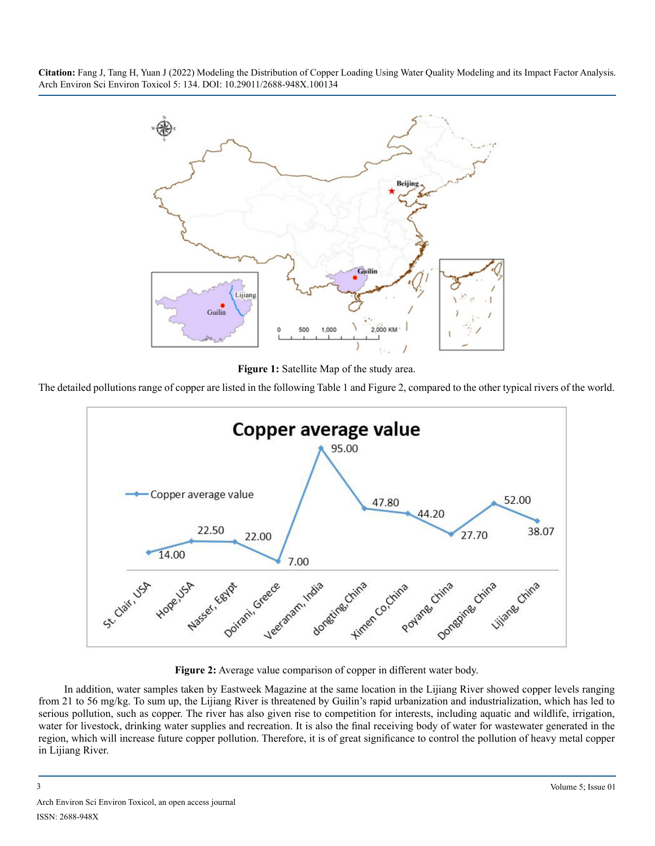

**Figure 1:** Satellite Map of the study area.

The detailed pollutions range of copper are listed in the following Table 1 and Figure 2, compared to the other typical rivers of the world.



**Figure 2:** Average value comparison of copper in different water body.

In addition, water samples taken by Eastweek Magazine at the same location in the Lijiang River showed copper levels ranging from 21 to 56 mg/kg. To sum up, the Lijiang River is threatened by Guilin's rapid urbanization and industrialization, which has led to serious pollution, such as copper. The river has also given rise to competition for interests, including aquatic and wildlife, irrigation, water for livestock, drinking water supplies and recreation. It is also the final receiving body of water for wastewater generated in the region, which will increase future copper pollution. Therefore, it is of great significance to control the pollution of heavy metal copper in Lijiang River.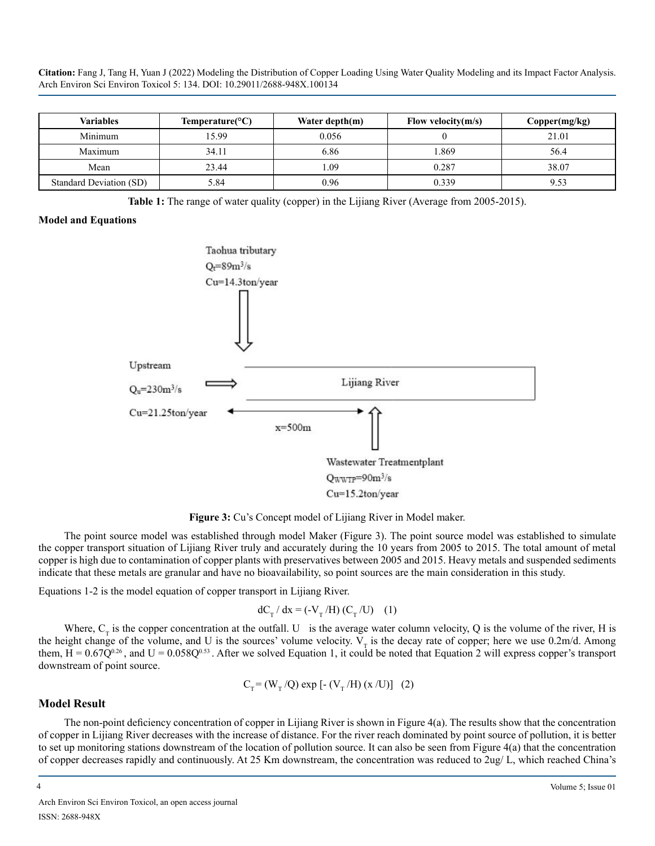| <b>Variables</b>        | Temperature( ${}^{\circ}C$ ) | Water depth $(m)$ | Flow velocity $(m/s)$ | Copper(mg/kg) |
|-------------------------|------------------------------|-------------------|-----------------------|---------------|
| Minimum                 | 1599                         | 0.056             |                       | 21.01         |
| Maximum                 | 34.11                        | 6.86              | .869                  | 56.4          |
| Mean                    | 23.44                        | .09               | 0.287                 | 38.07         |
| Standard Deviation (SD) | 5.84                         | 0.96              | 0.339                 |               |

**Table 1:** The range of water quality (copper) in the Lijiang River (Average from 2005-2015).

#### **Model and Equations**



**Figure 3:** Cu's Concept model of Lijiang River in Model maker.

The point source model was established through model Maker (Figure 3). The point source model was established to simulate the copper transport situation of Lijiang River truly and accurately during the 10 years from 2005 to 2015. The total amount of metal copper is high due to contamination of copper plants with preservatives between 2005 and 2015. Heavy metals and suspended sediments indicate that these metals are granular and have no bioavailability, so point sources are the main consideration in this study.

Equations 1-2 is the model equation of copper transport in Lijiang River.

$$
dC_{\text{T}} / dx = (-V_{\text{T}} / H) (C_{\text{T}} / U) \quad (1)
$$

Where,  $C_T$  is the copper concentration at the outfall. U is the average water column velocity, Q is the volume of the river, H is the height change of the volume, and U is the sources' volume velocity.  $V<sub>T</sub>$  is the decay rate of copper; here we use 0.2m/d. Among them,  $H = 0.67Q^{0.26}$ , and  $U = 0.058Q^{0.53}$ . After we solved Equation 1, it could be noted that Equation 2 will express copper's transport downstream of point source.

$$
C_T = (W_T/Q) \exp[-(V_T/H)(x/U)]
$$
 (2)

#### **Model Result**

The non-point deficiency concentration of copper in Lijiang River is shown in Figure  $4(a)$ . The results show that the concentration of copper in Lijiang River decreases with the increase of distance. For the river reach dominated by point source of pollution, it is better to set up monitoring stations downstream of the location of pollution source. It can also be seen from Figure 4(a) that the concentration of copper decreases rapidly and continuously. At 25 Km downstream, the concentration was reduced to 2ug/ L, which reached China's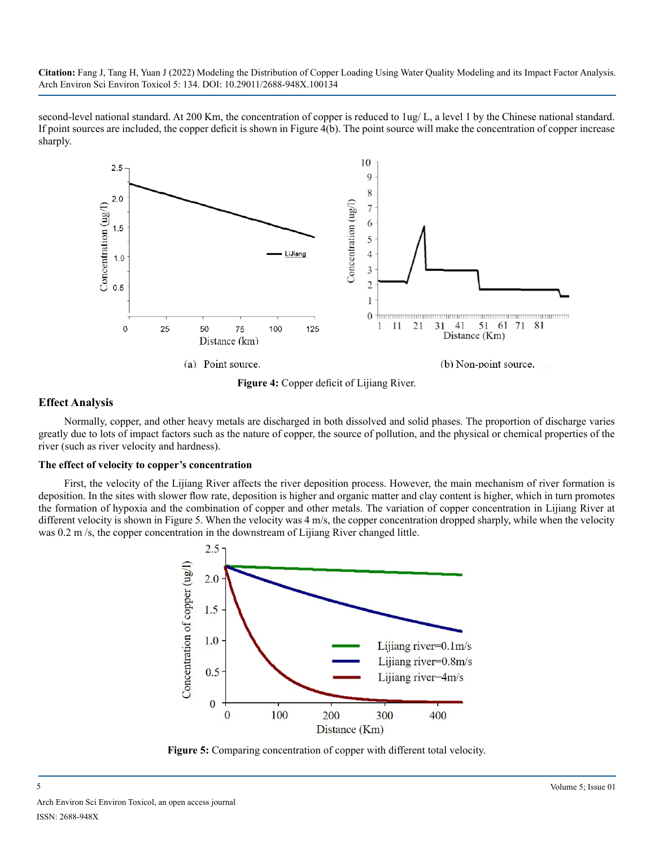second-level national standard. At 200 Km, the concentration of copper is reduced to 1ug/ L, a level 1 by the Chinese national standard. If point sources are included, the copper deficit is shown in Figure 4(b). The point source will make the concentration of copper increase sharply.



**Figure 4:** Copper deficit of Lijiang River.

#### **Effect Analysis**

Normally, copper, and other heavy metals are discharged in both dissolved and solid phases. The proportion of discharge varies greatly due to lots of impact factors such as the nature of copper, the source of pollution, and the physical or chemical properties of the river (such as river velocity and hardness).

#### **The effect of velocity to copper's concentration**

First, the velocity of the Lijiang River affects the river deposition process. However, the main mechanism of river formation is deposition. In the sites with slower flow rate, deposition is higher and organic matter and clay content is higher, which in turn promotes the formation of hypoxia and the combination of copper and other metals. The variation of copper concentration in Lijiang River at different velocity is shown in Figure 5. When the velocity was 4 m/s, the copper concentration dropped sharply, while when the velocity was 0.2 m/s, the copper concentration in the downstream of Lijiang River changed little.



**Figure 5:** Comparing concentration of copper with different total velocity.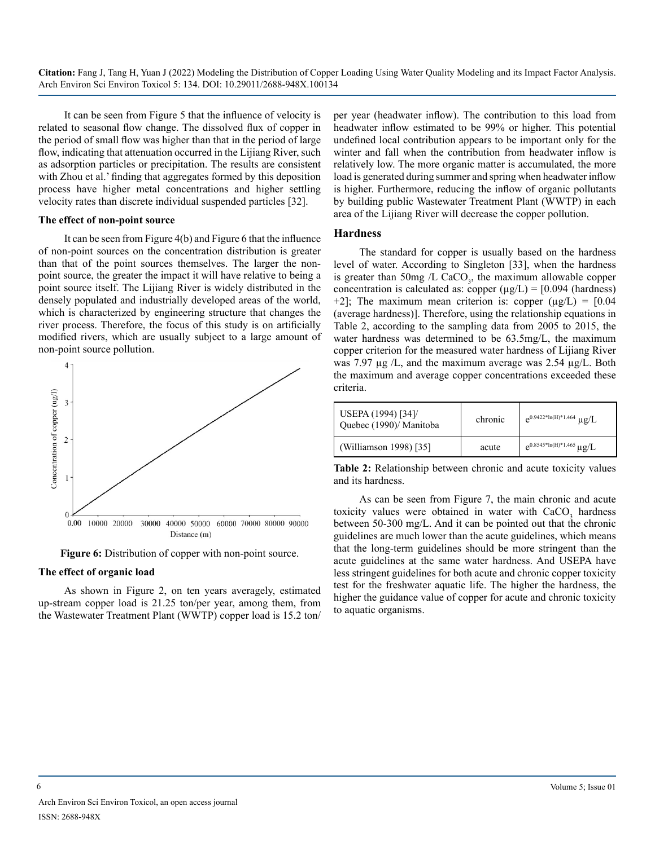It can be seen from Figure 5 that the influence of velocity is related to seasonal flow change. The dissolved flux of copper in the period of small flow was higher than that in the period of large flow, indicating that attenuation occurred in the Lijiang River, such as adsorption particles or precipitation. The results are consistent with Zhou et al.' finding that aggregates formed by this deposition process have higher metal concentrations and higher settling velocity rates than discrete individual suspended particles [32].

#### **The effect of non-point source**

It can be seen from Figure 4(b) and Figure 6 that the influence of non-point sources on the concentration distribution is greater than that of the point sources themselves. The larger the nonpoint source, the greater the impact it will have relative to being a point source itself. The Lijiang River is widely distributed in the densely populated and industrially developed areas of the world, which is characterized by engineering structure that changes the river process. Therefore, the focus of this study is on artificially modified rivers, which are usually subject to a large amount of non-point source pollution.



**Figure 6:** Distribution of copper with non-point source.

#### **The effect of organic load**

As shown in Figure 2, on ten years averagely, estimated up-stream copper load is 21.25 ton/per year, among them, from the Wastewater Treatment Plant (WWTP) copper load is 15.2 ton/

per year (headwater inflow). The contribution to this load from headwater inflow estimated to be 99% or higher. This potential undefined local contribution appears to be important only for the winter and fall when the contribution from headwater inflow is relatively low. The more organic matter is accumulated, the more load is generated during summer and spring when headwater inflow is higher. Furthermore, reducing the inflow of organic pollutants by building public Wastewater Treatment Plant (WWTP) in each area of the Lijiang River will decrease the copper pollution.

#### **Hardness**

The standard for copper is usually based on the hardness level of water. According to Singleton [33], when the hardness is greater than 50mg  $/L$  CaCO<sub>3</sub>, the maximum allowable copper concentration is calculated as: copper  $(\mu g/L) = [0.094$  (hardness) +2]; The maximum mean criterion is: copper  $(\mu g/L) = [0.04$ (average hardness)]. Therefore, using the relationship equations in Table 2, according to the sampling data from 2005 to 2015, the water hardness was determined to be 63.5mg/L, the maximum copper criterion for the measured water hardness of Lijiang River was 7.97  $\mu$ g /L, and the maximum average was 2.54  $\mu$ g/L. Both the maximum and average copper concentrations exceeded these criteria.

| USEPA (1994) [34]/<br>Quebec (1990)/ Manitoba | chronic | $e^{0.9422*ln(H)*1.464} \mu g/L$     |
|-----------------------------------------------|---------|--------------------------------------|
| (Williamson 1998) [35]                        | acute   | $e^{0.8545 * ln(H) * 1.465} \mu g/L$ |

**Table 2:** Relationship between chronic and acute toxicity values and its hardness.

As can be seen from Figure 7, the main chronic and acute toxicity values were obtained in water with  $CaCO<sub>3</sub>$  hardness between 50-300 mg/L. And it can be pointed out that the chronic guidelines are much lower than the acute guidelines, which means that the long-term guidelines should be more stringent than the acute guidelines at the same water hardness. And USEPA have less stringent guidelines for both acute and chronic copper toxicity test for the freshwater aquatic life. The higher the hardness, the higher the guidance value of copper for acute and chronic toxicity to aquatic organisms.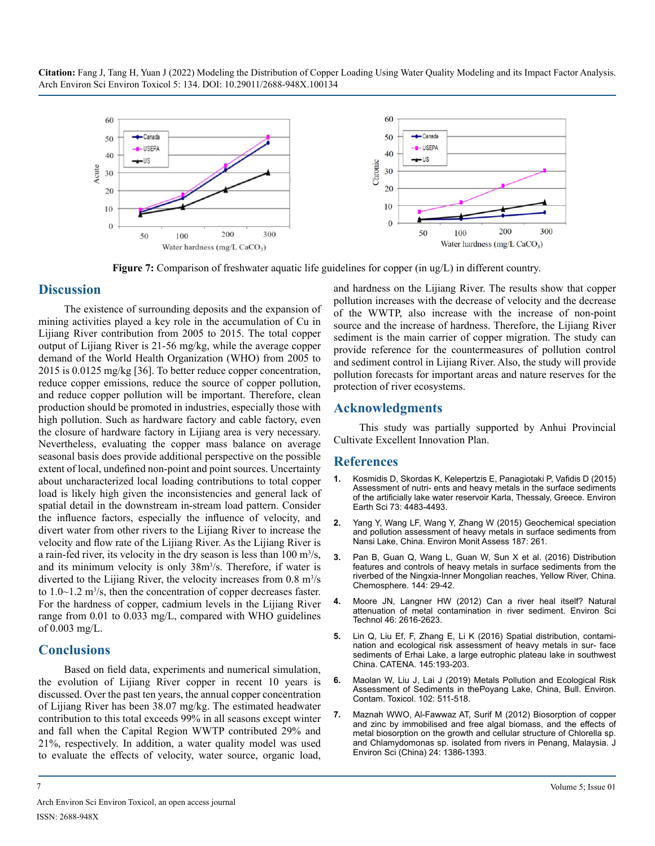

**Figure 7:** Comparison of freshwater aquatic life guidelines for copper (in ug/L) in different country.

#### **Discussion**

The existence of surrounding deposits and the expansion of mining activities played a key role in the accumulation of Cu in Lijiang River contribution from 2005 to 2015. The total copper output of Lijiang River is 21-56 mg/kg, while the average copper demand of the World Health Organization (WHO) from 2005 to 2015 is 0.0125 mg/kg [36]. To better reduce copper concentration, reduce copper emissions, reduce the source of copper pollution, and reduce copper pollution will be important. Therefore, clean production should be promoted in industries, especially those with high pollution. Such as hardware factory and cable factory, even the closure of hardware factory in Lijiang area is very necessary. Nevertheless, evaluating the copper mass balance on average seasonal basis does provide additional perspective on the possible extent of local, undefined non-point and point sources. Uncertainty about uncharacterized local loading contributions to total copper load is likely high given the inconsistencies and general lack of spatial detail in the downstream in-stream load pattern. Consider the influence factors, especially the influence of velocity, and divert water from other rivers to the Lijiang River to increase the velocity and flow rate of the Lijiang River. As the Lijiang River is a rain-fed river, its velocity in the dry season is less than  $100 \text{ m}^3/\text{s}$ , and its minimum velocity is only 38m<sup>3</sup>/s. Therefore, if water is diverted to the Lijiang River, the velocity increases from  $0.8 \text{ m}^3/\text{s}$ to  $1.0 \sim 1.2$  m<sup>3</sup>/s, then the concentration of copper decreases faster. For the hardness of copper, cadmium levels in the Lijiang River range from 0.01 to 0.033 mg/L, compared with WHO guidelines of 0.003 mg/L.

#### **Conclusions**

Based on field data, experiments and numerical simulation, the evolution of Lijiang River copper in recent 10 years is discussed. Over the past ten years, the annual copper concentration of Lijiang River has been 38.07 mg/kg. The estimated headwater contribution to this total exceeds 99% in all seasons except winter and fall when the Capital Region WWTP contributed 29% and 21%, respectively. In addition, a water quality model was used to evaluate the effects of velocity, water source, organic load, and hardness on the Lijiang River. The results show that copper pollution increases with the decrease of velocity and the decrease of the WWTP, also increase with the increase of non-point source and the increase of hardness. Therefore, the Lijiang River sediment is the main carrier of copper migration. The study can provide reference for the countermeasures of pollution control and sediment control in Lijiang River. Also, the study will provide pollution forecasts for important areas and nature reserves for the protection of river ecosystems.

#### **Acknowledgments**

This study was partially supported by Anhui Provincial Cultivate Excellent Innovation Plan.

#### **References**

- **1.** [Kosmidis D, Skordas K, Kelepertzis E, Panagiotaki P, Vafidis D \(2015\)](http://users.uoa.gr/~kelepert/pdf/pdf/Assessment of nutrients and heavy metals in the surface sediments of the artificially lake water reservoir Karla, Thessaly, Greece.pdf)  [Assessment of nutri- ents and heavy metals in the surface sediments](http://users.uoa.gr/~kelepert/pdf/pdf/Assessment of nutrients and heavy metals in the surface sediments of the artificially lake water reservoir Karla, Thessaly, Greece.pdf) [of the artificially lake water reservoir Karla, Thessaly, Greece. Environ](http://users.uoa.gr/~kelepert/pdf/pdf/Assessment of nutrients and heavy metals in the surface sediments of the artificially lake water reservoir Karla, Thessaly, Greece.pdf)  [Earth Sci 73: 4483-4493.](http://users.uoa.gr/~kelepert/pdf/pdf/Assessment of nutrients and heavy metals in the surface sediments of the artificially lake water reservoir Karla, Thessaly, Greece.pdf)
- **2.** [Yang Y, Wang LF, Wang Y, Zhang W \(2015\) Geochemical speciation](https://pubmed.ncbi.nlm.nih.gov/25893757/)  [and pollution assessment of heavy metals in surface sediments from](https://pubmed.ncbi.nlm.nih.gov/25893757/)  [Nansi Lake, China. Environ Monit Assess 187: 261.](https://pubmed.ncbi.nlm.nih.gov/25893757/)
- **3.** [Pan B, Guan Q, Wang L, Guan W, Sun X et al. \(2016\) Distribution](https://www.sciencedirect.com/science/article/abs/pii/S0045653515300370)  [features and controls of heavy metals in surface sediments from the](https://www.sciencedirect.com/science/article/abs/pii/S0045653515300370) [riverbed of the Ningxia-Inner Mongolian reaches, Yellow River, China.](https://www.sciencedirect.com/science/article/abs/pii/S0045653515300370)  [Chemosphere. 144: 29-42.](https://www.sciencedirect.com/science/article/abs/pii/S0045653515300370)
- **4.** [Moore JN, Langner HW \(2012\) Can a river heal itself? Natural](https://pubs.acs.org/doi/abs/10.1021/es203810j)  [attenuation of metal contamination in river sediment. Environ Sci](https://pubs.acs.org/doi/abs/10.1021/es203810j)  [Technol 46: 2616-2623.](https://pubs.acs.org/doi/abs/10.1021/es203810j)
- **5.** [Lin Q, Liu Ef, F, Zhang E, Li K \(2016\) Spatial distribution, contami](https://www.researchgate.net/publication/303917411_Spatial_distribution_contamination_and_ecological_risk_assessment_of_heavy_metals_in_surface_sediments_of_Erhai_Lake_a_large_eutrophic_plateau_lake_in_southwest_China)[nation and ecological risk assessment of heavy metals in sur- face](https://www.researchgate.net/publication/303917411_Spatial_distribution_contamination_and_ecological_risk_assessment_of_heavy_metals_in_surface_sediments_of_Erhai_Lake_a_large_eutrophic_plateau_lake_in_southwest_China)  [sediments of Erhai Lake, a large eutrophic plateau lake in southwest](https://www.researchgate.net/publication/303917411_Spatial_distribution_contamination_and_ecological_risk_assessment_of_heavy_metals_in_surface_sediments_of_Erhai_Lake_a_large_eutrophic_plateau_lake_in_southwest_China)  [China. CATENA. 145:193-203.](https://www.researchgate.net/publication/303917411_Spatial_distribution_contamination_and_ecological_risk_assessment_of_heavy_metals_in_surface_sediments_of_Erhai_Lake_a_large_eutrophic_plateau_lake_in_southwest_China)
- **6.** [Maolan W, Liu J, Lai J \(2019\) Metals Pollution and Ecological Risk](https://www.researchgate.net/publication/331592460_Metals_Pollution_and_Ecological_Risk_Assessment_of_Sediments_in_the_Poyang_Lake_China)  [Assessment of Sediments in thePoyang Lake, China, Bull. Environ.](https://www.researchgate.net/publication/331592460_Metals_Pollution_and_Ecological_Risk_Assessment_of_Sediments_in_the_Poyang_Lake_China)  [Contam. Toxicol. 102: 511-518.](https://www.researchgate.net/publication/331592460_Metals_Pollution_and_Ecological_Risk_Assessment_of_Sediments_in_the_Poyang_Lake_China)
- **7.** [Maznah WWO, Al-Fawwaz AT, Surif M \(2012\) Biosorption of copper](https://www.sciencedirect.com/science/article/abs/pii/S1001074211609315)  [and zinc by immobilised and free algal biomass, and the effects of](https://www.sciencedirect.com/science/article/abs/pii/S1001074211609315)  [metal biosorption on the growth and cellular structure of Chlorella sp.](https://www.sciencedirect.com/science/article/abs/pii/S1001074211609315)  [and Chlamydomonas sp. isolated from rivers in Penang, Malaysia. J](https://www.sciencedirect.com/science/article/abs/pii/S1001074211609315)  [Environ Sci \(China\) 24: 1386-1393.](https://www.sciencedirect.com/science/article/abs/pii/S1001074211609315)